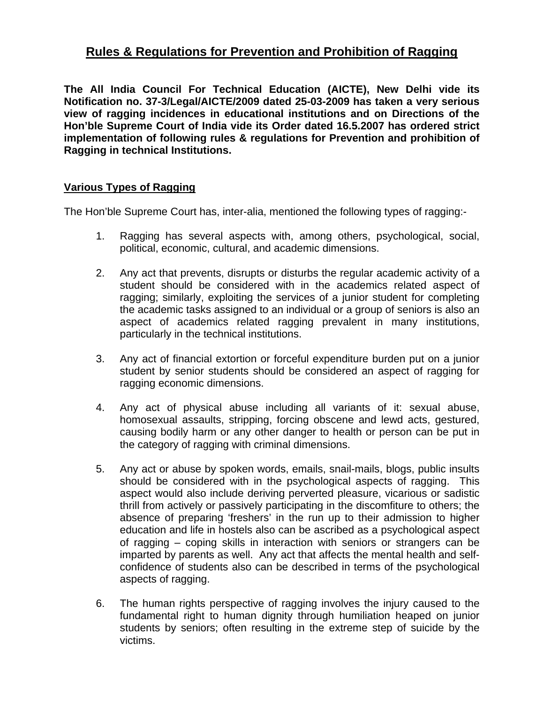## **Rules & Regulations for Prevention and Prohibition of Ragging**

**The All India Council For Technical Education (AICTE), New Delhi vide its Notification no. 37-3/Legal/AICTE/2009 dated 25-03-2009 has taken a very serious view of ragging incidences in educational institutions and on Directions of the Hon'ble Supreme Court of India vide its Order dated 16.5.2007 has ordered strict implementation of following rules & regulations for Prevention and prohibition of Ragging in technical Institutions.** 

## **Various Types of Ragging**

The Hon'ble Supreme Court has, inter-alia, mentioned the following types of ragging:-

- 1. Ragging has several aspects with, among others, psychological, social, political, economic, cultural, and academic dimensions.
- 2. Any act that prevents, disrupts or disturbs the regular academic activity of a student should be considered with in the academics related aspect of ragging; similarly, exploiting the services of a junior student for completing the academic tasks assigned to an individual or a group of seniors is also an aspect of academics related ragging prevalent in many institutions, particularly in the technical institutions.
- 3. Any act of financial extortion or forceful expenditure burden put on a junior student by senior students should be considered an aspect of ragging for ragging economic dimensions.
- 4. Any act of physical abuse including all variants of it: sexual abuse, homosexual assaults, stripping, forcing obscene and lewd acts, gestured, causing bodily harm or any other danger to health or person can be put in the category of ragging with criminal dimensions.
- 5. Any act or abuse by spoken words, emails, snail-mails, blogs, public insults should be considered with in the psychological aspects of ragging. This aspect would also include deriving perverted pleasure, vicarious or sadistic thrill from actively or passively participating in the discomfiture to others; the absence of preparing 'freshers' in the run up to their admission to higher education and life in hostels also can be ascribed as a psychological aspect of ragging – coping skills in interaction with seniors or strangers can be imparted by parents as well. Any act that affects the mental health and selfconfidence of students also can be described in terms of the psychological aspects of ragging.
- 6. The human rights perspective of ragging involves the injury caused to the fundamental right to human dignity through humiliation heaped on junior students by seniors; often resulting in the extreme step of suicide by the victims.